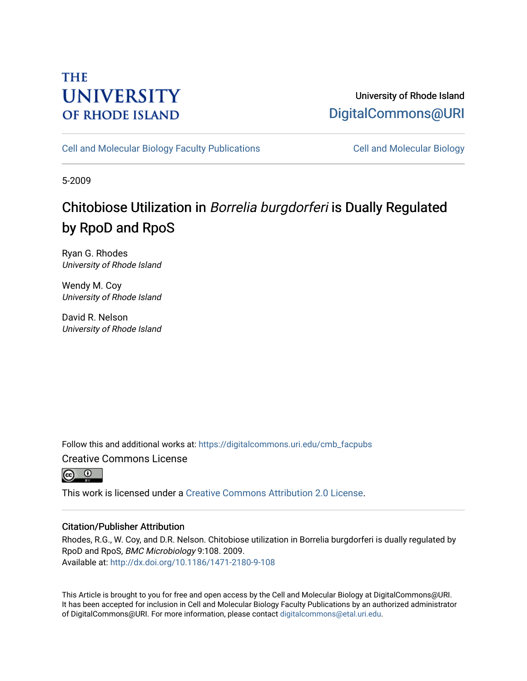# **THE UNIVERSITY OF RHODE ISLAND**

# University of Rhode Island [DigitalCommons@URI](https://digitalcommons.uri.edu/)

[Cell and Molecular Biology Faculty Publications](https://digitalcommons.uri.edu/cmb_facpubs) [Cell and Molecular Biology](https://digitalcommons.uri.edu/cmb) 

5-2009

# Chitobiose Utilization in Borrelia burgdorferi is Dually Regulated by RpoD and RpoS

Ryan G. Rhodes University of Rhode Island

Wendy M. Coy University of Rhode Island

David R. Nelson University of Rhode Island

Follow this and additional works at: [https://digitalcommons.uri.edu/cmb\\_facpubs](https://digitalcommons.uri.edu/cmb_facpubs?utm_source=digitalcommons.uri.edu%2Fcmb_facpubs%2F2&utm_medium=PDF&utm_campaign=PDFCoverPages)  Creative Commons License



This work is licensed under a [Creative Commons Attribution 2.0 License](https://creativecommons.org/licenses/by/2.0/).

# Citation/Publisher Attribution

Rhodes, R.G., W. Coy, and D.R. Nelson. Chitobiose utilization in Borrelia burgdorferi is dually regulated by RpoD and RpoS, BMC Microbiology 9:108. 2009. Available at:<http://dx.doi.org/10.1186/1471-2180-9-108>

This Article is brought to you for free and open access by the Cell and Molecular Biology at DigitalCommons@URI. It has been accepted for inclusion in Cell and Molecular Biology Faculty Publications by an authorized administrator of DigitalCommons@URI. For more information, please contact [digitalcommons@etal.uri.edu](mailto:digitalcommons@etal.uri.edu).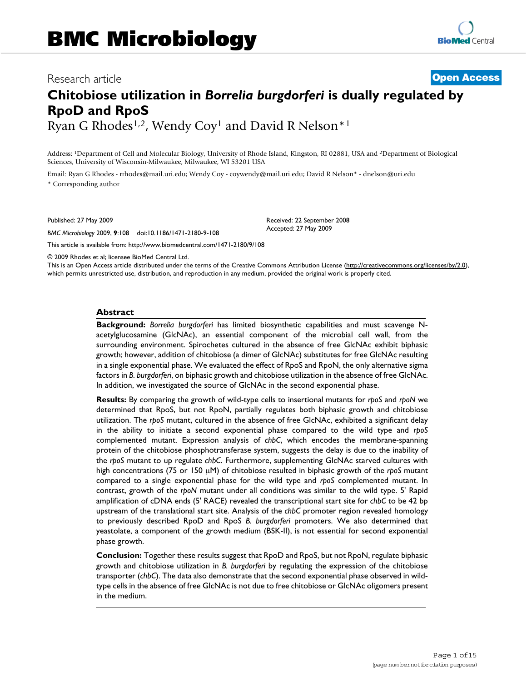# Research article **Open Access**

# **Chitobiose utilization in** *Borrelia burgdorferi* **is dually regulated by RpoD and RpoS**

Ryan G Rhodes1,2, Wendy Coy1 and David R Nelson\*1

Address: 1Department of Cell and Molecular Biology, University of Rhode Island, Kingston, RI 02881, USA and 2Department of Biological Sciences, University of Wisconsin-Milwaukee, Milwaukee, WI 53201 USA

Email: Ryan G Rhodes - rrhodes@mail.uri.edu; Wendy Coy - coywendy@mail.uri.edu; David R Nelson\* - dnelson@uri.edu \* Corresponding author

Published: 27 May 2009

*BMC Microbiology* 2009, **9**:108 doi:10.1186/1471-2180-9-108

Received: 22 September 2008 Accepted: 27 May 2009

This article is available from: http://www.biomedcentral.com/1471-2180/9/108

© 2009 Rhodes et al; licensee BioMed Central Ltd.

This is an Open Access article distributed under the terms of the Creative Commons Attribution License (http://creativecommons.org/licenses/by/2.0), which permits unrestricted use, distribution, and reproduction in any medium, provided the original work is properly cited.

# **Abstract**

**Background:** *Borrelia burgdorferi* has limited biosynthetic capabilities and must scavenge Nacetylglucosamine (GlcNAc), an essential component of the microbial cell wall, from the surrounding environment. Spirochetes cultured in the absence of free GlcNAc exhibit biphasic growth; however, addition of chitobiose (a dimer of GlcNAc) substitutes for free GlcNAc resulting in a single exponential phase. We evaluated the effect of RpoS and RpoN, the only alternative sigma factors in *B. burgdorferi*, on biphasic growth and chitobiose utilization in the absence of free GlcNAc. In addition, we investigated the source of GlcNAc in the second exponential phase.

**Results:** By comparing the growth of wild-type cells to insertional mutants for *rpoS* and *rpoN* we determined that RpoS, but not RpoN, partially regulates both biphasic growth and chitobiose utilization. The *rpoS* mutant, cultured in the absence of free GlcNAc, exhibited a significant delay in the ability to initiate a second exponential phase compared to the wild type and *rpoS* complemented mutant. Expression analysis of *chbC*, which encodes the membrane-spanning protein of the chitobiose phosphotransferase system, suggests the delay is due to the inability of the *rpoS* mutant to up regulate *chbC*. Furthermore, supplementing GlcNAc starved cultures with high concentrations (75 or 150 μM) of chitobiose resulted in biphasic growth of the *rpoS* mutant compared to a single exponential phase for the wild type and *rpoS* complemented mutant. In contrast, growth of the *rpoN* mutant under all conditions was similar to the wild type. 5' Rapid amplification of cDNA ends (5' RACE) revealed the transcriptional start site for *chbC* to be 42 bp upstream of the translational start site. Analysis of the *chbC* promoter region revealed homology to previously described RpoD and RpoS *B. burgdorferi* promoters. We also determined that yeastolate, a component of the growth medium (BSK-II), is not essential for second exponential phase growth.

**Conclusion:** Together these results suggest that RpoD and RpoS, but not RpoN, regulate biphasic growth and chitobiose utilization in *B. burgdorferi* by regulating the expression of the chitobiose transporter (*chbC*). The data also demonstrate that the second exponential phase observed in wildtype cells in the absence of free GlcNAc is not due to free chitobiose or GlcNAc oligomers present in the medium.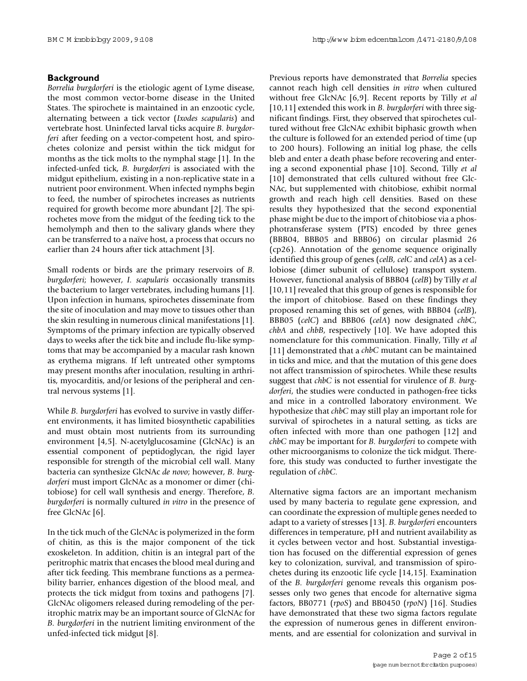# **Background**

*Borrelia burgdorferi* is the etiologic agent of Lyme disease, the most common vector-borne disease in the United States. The spirochete is maintained in an enzootic cycle, alternating between a tick vector (*Ixodes scapularis*) and vertebrate host. Uninfected larval ticks acquire *B. burgdorferi* after feeding on a vector-competent host, and spirochetes colonize and persist within the tick midgut for months as the tick molts to the nymphal stage [1]. In the infected-unfed tick, *B. burgdorferi* is associated with the midgut epithelium, existing in a non-replicative state in a nutrient poor environment. When infected nymphs begin to feed, the number of spirochetes increases as nutrients required for growth become more abundant [2]. The spirochetes move from the midgut of the feeding tick to the hemolymph and then to the salivary glands where they can be transferred to a naïve host, a process that occurs no earlier than 24 hours after tick attachment [3].

Small rodents or birds are the primary reservoirs of *B. burgdorferi*; however, *I. scapularis* occasionally transmits the bacterium to larger vertebrates, including humans [1]. Upon infection in humans, spirochetes disseminate from the site of inoculation and may move to tissues other than the skin resulting in numerous clinical manifestations [1]. Symptoms of the primary infection are typically observed days to weeks after the tick bite and include flu-like symptoms that may be accompanied by a macular rash known as erythema migrans. If left untreated other symptoms may present months after inoculation, resulting in arthritis, myocarditis, and/or lesions of the peripheral and central nervous systems [1].

While *B. burgdorferi* has evolved to survive in vastly different environments, it has limited biosynthetic capabilities and must obtain most nutrients from its surrounding environment [4,5]. N-acetylglucosamine (GlcNAc) is an essential component of peptidoglycan, the rigid layer responsible for strength of the microbial cell wall. Many bacteria can synthesize GlcNAc *de novo*; however, *B. burgdorferi* must import GlcNAc as a monomer or dimer (chitobiose) for cell wall synthesis and energy. Therefore, *B. burgdorferi* is normally cultured *in vitro* in the presence of free GlcNAc [6].

In the tick much of the GlcNAc is polymerized in the form of chitin, as this is the major component of the tick exoskeleton. In addition, chitin is an integral part of the peritrophic matrix that encases the blood meal during and after tick feeding. This membrane functions as a permeability barrier, enhances digestion of the blood meal, and protects the tick midgut from toxins and pathogens [7]. GlcNAc oligomers released during remodeling of the peritrophic matrix may be an important source of GlcNAc for *B. burgdorferi* in the nutrient limiting environment of the unfed-infected tick midgut [8].

Previous reports have demonstrated that *Borrelia* species cannot reach high cell densities *in vitro* when cultured without free GlcNAc [6,9]. Recent reports by Tilly *et al* [10,11] extended this work in *B. burgdorferi* with three significant findings. First, they observed that spirochetes cultured without free GlcNAc exhibit biphasic growth when the culture is followed for an extended period of time (up to 200 hours). Following an initial log phase, the cells bleb and enter a death phase before recovering and entering a second exponential phase [10]. Second, Tilly *et al* [10] demonstrated that cells cultured without free Glc-NAc, but supplemented with chitobiose, exhibit normal growth and reach high cell densities. Based on these results they hypothesized that the second exponential phase might be due to the import of chitobiose via a phosphotransferase system (PTS) encoded by three genes (BBB04, BBB05 and BBB06) on circular plasmid 26 (cp26). Annotation of the genome sequence originally identified this group of genes (*celB, celC* and *celA*) as a cellobiose (dimer subunit of cellulose) transport system. However, functional analysis of BBB04 (*celB*) by Tilly *et al* [10,11] revealed that this group of genes is responsible for the import of chitobiose. Based on these findings they proposed renaming this set of genes, with BBB04 (*celB*), BBB05 (*celC*) and BBB06 (*celA*) now designated *chbC*, *chbA* and *chbB*, respectively [10]. We have adopted this nomenclature for this communication. Finally, Tilly *et al* [11] demonstrated that a *chbC* mutant can be maintained in ticks and mice, and that the mutation of this gene does not affect transmission of spirochetes. While these results suggest that *chbC* is not essential for virulence of *B. burgdorferi*, the studies were conducted in pathogen-free ticks and mice in a controlled laboratory environment. We hypothesize that *chbC* may still play an important role for survival of spirochetes in a natural setting, as ticks are often infected with more than one pathogen [12] and *chbC* may be important for *B. burgdorferi* to compete with other microorganisms to colonize the tick midgut. Therefore, this study was conducted to further investigate the regulation of *chbC*.

Alternative sigma factors are an important mechanism used by many bacteria to regulate gene expression, and can coordinate the expression of multiple genes needed to adapt to a variety of stresses [13]. *B. burgdorferi* encounters differences in temperature, pH and nutrient availability as it cycles between vector and host. Substantial investigation has focused on the differential expression of genes key to colonization, survival, and transmission of spirochetes during its enzootic life cycle [14,15]. Examination of the *B. burgdorferi* genome reveals this organism possesses only two genes that encode for alternative sigma factors, BB0771 (*rpoS*) and BB0450 (*rpoN*) [16]. Studies have demonstrated that these two sigma factors regulate the expression of numerous genes in different environments, and are essential for colonization and survival in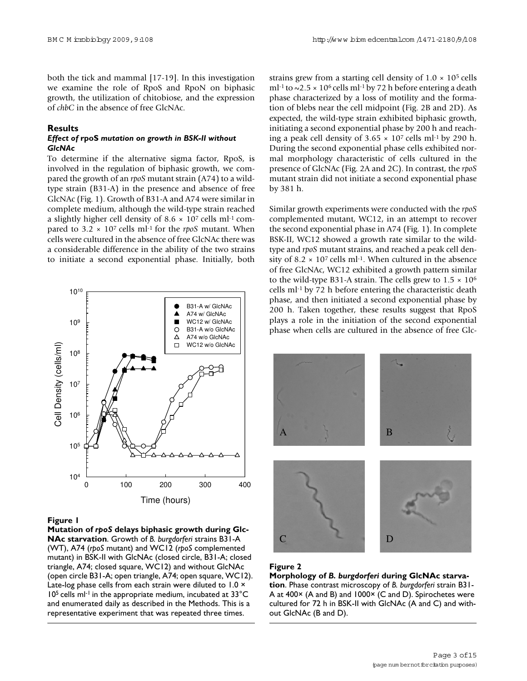both the tick and mammal [17-19]. In this investigation we examine the role of RpoS and RpoN on biphasic growth, the utilization of chitobiose, and the expression of *chbC* in the absence of free GlcNAc.

# **Results**

# *Effect of* **rpoS** *mutation on growth in BSK-II without GlcNAc*

To determine if the alternative sigma factor, RpoS, is involved in the regulation of biphasic growth, we compared the growth of an *rpoS* mutant strain (A74) to a wildtype strain (B31-A) in the presence and absence of free GlcNAc (Fig. 1). Growth of B31-A and A74 were similar in complete medium, although the wild-type strain reached a slightly higher cell density of  $8.6 \times 10^7$  cells ml<sup>-1</sup> compared to 3.2 × 107 cells ml-1 for the *rpoS* mutant. When cells were cultured in the absence of free GlcNAc there was a considerable difference in the ability of the two strains to initiate a second exponential phase. Initially, both



# Figure 1

**Mutation of** *rpoS* **delays biphasic growth during Glc-NAc starvation**. Growth of *B. burgdorferi* strains B31-A (WT), A74 (*rpoS* mutant) and WC12 (*rpoS* complemented mutant) in BSK-II with GlcNAc (closed circle, B31-A; closed triangle, A74; closed square, WC12) and without GlcNAc (open circle B31-A; open triangle, A74; open square, WC12). Late-log phase cells from each strain were diluted to 1.0  $\times$  $10<sup>5</sup>$  cells ml<sup>-1</sup> in the appropriate medium, incubated at 33 $^{\circ}$ C and enumerated daily as described in the Methods. This is a representative experiment that was repeated three times.

strains grew from a starting cell density of  $1.0 \times 10^5$  cells ml<sup>-1</sup> to  $\sim$ 2.5  $\times$  10<sup>6</sup> cells ml<sup>-1</sup> by 72 h before entering a death phase characterized by a loss of motility and the formation of blebs near the cell midpoint (Fig. 2B and 2D). As expected, the wild-type strain exhibited biphasic growth, initiating a second exponential phase by 200 h and reaching a peak cell density of  $3.65 \times 10^7$  cells ml<sup>-1</sup> by 290 h. During the second exponential phase cells exhibited normal morphology characteristic of cells cultured in the presence of GlcNAc (Fig. 2A and 2C). In contrast, the *rpoS* mutant strain did not initiate a second exponential phase by 381 h.

Similar growth experiments were conducted with the *rpoS* complemented mutant, WC12, in an attempt to recover the second exponential phase in A74 (Fig. 1). In complete BSK-II, WC12 showed a growth rate similar to the wildtype and *rpoS* mutant strains, and reached a peak cell density of 8.2  $\times$  10<sup>7</sup> cells ml<sup>-1</sup>. When cultured in the absence of free GlcNAc, WC12 exhibited a growth pattern similar to the wild-type B31-A strain. The cells grew to  $1.5 \times 10^6$ cells ml-1 by 72 h before entering the characteristic death phase, and then initiated a second exponential phase by 200 h. Taken together, these results suggest that RpoS plays a role in the initiation of the second exponential phase when cells are cultured in the absence of free Glc-



# **Figure 2**

**Morphology of** *B. burgdorferi* **during GlcNAc starvation**. Phase contrast microscopy of *B. burgdorferi* strain B31- A at 400× (A and B) and 1000× (C and D). Spirochetes were cultured for 72 h in BSK-II with GlcNAc (A and C) and without GlcNAc (B and D).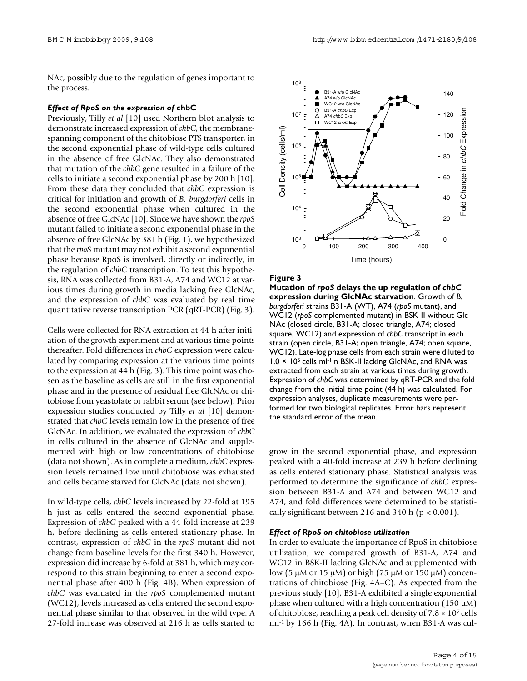NAc, possibly due to the regulation of genes important to the process.

#### *Effect of RpoS on the expression of* **chbC**

Previously, Tilly *et al* [10] used Northern blot analysis to demonstrate increased expression of *chbC*, the membranespanning component of the chitobiose PTS transporter, in the second exponential phase of wild-type cells cultured in the absence of free GlcNAc. They also demonstrated that mutation of the *chbC* gene resulted in a failure of the cells to initiate a second exponential phase by 200 h [10]. From these data they concluded that *chbC* expression is critical for initiation and growth of *B. burgdorferi* cells in the second exponential phase when cultured in the absence of free GlcNAc [10]. Since we have shown the *rpoS* mutant failed to initiate a second exponential phase in the absence of free GlcNAc by 381 h (Fig. 1), we hypothesized that the *rpoS* mutant may not exhibit a second exponential phase because RpoS is involved, directly or indirectly, in the regulation of *chbC* transcription. To test this hypothesis, RNA was collected from B31-A, A74 and WC12 at various times during growth in media lacking free GlcNAc, and the expression of *chbC* was evaluated by real time quantitative reverse transcription PCR (qRT-PCR) (Fig. 3).

Cells were collected for RNA extraction at 44 h after initiation of the growth experiment and at various time points thereafter. Fold differences in *chbC* expression were calculated by comparing expression at the various time points to the expression at 44 h (Fig. 3). This time point was chosen as the baseline as cells are still in the first exponential phase and in the presence of residual free GlcNAc or chitobiose from yeastolate or rabbit serum (see below). Prior expression studies conducted by Tilly *et al* [10] demonstrated that *chbC* levels remain low in the presence of free GlcNAc. In addition, we evaluated the expression of *chbC* in cells cultured in the absence of GlcNAc and supplemented with high or low concentrations of chitobiose (data not shown). As in complete a medium, *chbC* expression levels remained low until chitobiose was exhausted and cells became starved for GlcNAc (data not shown).

In wild-type cells, *chbC* levels increased by 22-fold at 195 h just as cells entered the second exponential phase. Expression of *chbC* peaked with a 44-fold increase at 239 h, before declining as cells entered stationary phase. In contrast, expression of *chbC* in the *rpoS* mutant did not change from baseline levels for the first 340 h. However, expression did increase by 6-fold at 381 h, which may correspond to this strain beginning to enter a second exponential phase after 400 h (Fig. 4B). When expression of *chbC* was evaluated in the *rpoS* complemented mutant (WC12), levels increased as cells entered the second exponential phase similar to that observed in the wild type. A 27-fold increase was observed at 216 h as cells started to



#### Figure 3

**Mutation of** *rpoS* **delays the up regulation of** *chbC* **expression during GlcNAc starvation**. Growth of *B. burgdorferi* strains B31-A (WT), A74 (*rpoS* mutant), and WC12 (*rpoS* complemented mutant) in BSK-II without Glc-NAc (closed circle, B31-A; closed triangle, A74; closed square, WC12) and expression of *chbC* transcript in each strain (open circle, B31-A; open triangle, A74; open square, WC12). Late-log phase cells from each strain were diluted to  $1.0 \times 10^5$  cells ml<sup>-1</sup>in BSK-II lacking GlcNAc, and RNA was extracted from each strain at various times during growth. Expression of *chbC* was determined by qRT-PCR and the fold change from the initial time point (44 h) was calculated. For expression analyses, duplicate measurements were performed for two biological replicates. Error bars represent the standard error of the mean.

grow in the second exponential phase, and expression peaked with a 40-fold increase at 239 h before declining as cells entered stationary phase. Statistical analysis was performed to determine the significance of *chbC* expression between B31-A and A74 and between WC12 and A74, and fold differences were determined to be statistically significant between 216 and 340 h ( $p < 0.001$ ).

#### *Effect of RpoS on chitobiose utilization*

In order to evaluate the importance of RpoS in chitobiose utilization, we compared growth of B31-A, A74 and WC12 in BSK-II lacking GlcNAc and supplemented with low (5  $\mu$ M or 15  $\mu$ M) or high (75  $\mu$ M or 150  $\mu$ M) concentrations of chitobiose (Fig. 4A–C). As expected from the previous study [10], B31-A exhibited a single exponential phase when cultured with a high concentration (150  $\mu$ M) of chitobiose, reaching a peak cell density of  $7.8 \times 10^7$  cells ml-1 by 166 h (Fig. 4A). In contrast, when B31-A was cul-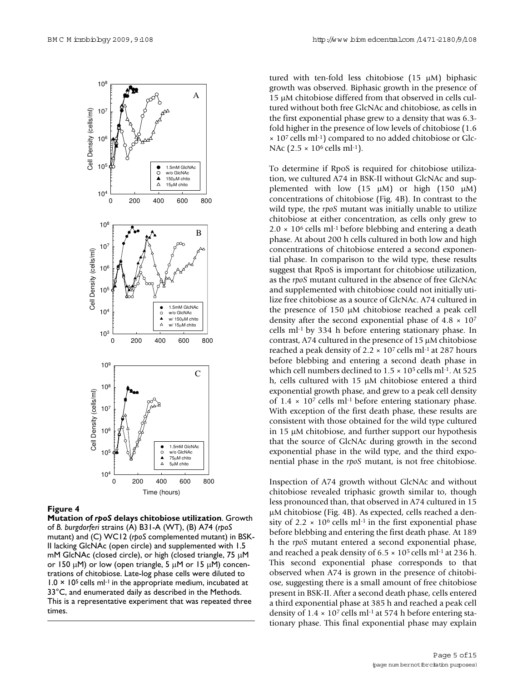

### **Figure 4**

**Mutation of** *rpoS* **delays chitobiose utilization**. Growth of *B. burgdorferi* strains (A) B31-A (WT), (B) A74 (*rpoS*  mutant) and (C) WC12 (*rpoS* complemented mutant) in BSK-II lacking GlcNAc (open circle) and supplemented with 1.5 mM GlcNAc (closed circle), or high (closed triangle,  $75 \mu$ M or 150  $\mu$ M) or low (open triangle, 5  $\mu$ M or 15  $\mu$ M) concentrations of chitobiose. Late-log phase cells were diluted to  $1.0 \times 10^5$  cells ml<sup>-1</sup> in the appropriate medium, incubated at 33°C, and enumerated daily as described in the Methods. This is a representative experiment that was repeated three times.

tured with ten-fold less chitobiose (15  $\mu$ M) biphasic growth was observed. Biphasic growth in the presence of 15 µM chitobiose differed from that observed in cells cultured without both free GlcNAc and chitobiose, as cells in the first exponential phase grew to a density that was 6.3 fold higher in the presence of low levels of chitobiose (1.6 × 107 cells ml-1) compared to no added chitobiose or Glc-NAc (2.5  $\times$  10<sup>6</sup> cells ml<sup>-1</sup>).

To determine if RpoS is required for chitobiose utilization, we cultured A74 in BSK-II without GlcNAc and supplemented with low (15  $\mu$ M) or high (150  $\mu$ M) concentrations of chitobiose (Fig. 4B). In contrast to the wild type, the *rpoS* mutant was initially unable to utilize chitobiose at either concentration, as cells only grew to  $2.0 \times 10^6$  cells ml<sup>-1</sup> before blebbing and entering a death phase. At about 200 h cells cultured in both low and high concentrations of chitobiose entered a second exponential phase. In comparison to the wild type, these results suggest that RpoS is important for chitobiose utilization, as the *rpoS* mutant cultured in the absence of free GlcNAc and supplemented with chitobiose could not initially utilize free chitobiose as a source of GlcNAc. A74 cultured in the presence of 150  $\mu$ M chitobiose reached a peak cell density after the second exponential phase of  $4.8 \times 10^7$ cells ml-1 by 334 h before entering stationary phase. In contrast, A74 cultured in the presence of  $15 \mu$ M chitobiose reached a peak density of  $2.2 \times 10^7$  cells ml<sup>-1</sup> at 287 hours before blebbing and entering a second death phase in which cell numbers declined to  $1.5 \times 10^5$  cells ml<sup>-1</sup>. At 525 h, cells cultured with  $15 \mu M$  chitobiose entered a third exponential growth phase, and grew to a peak cell density of  $1.4 \times 10^7$  cells ml<sup>-1</sup> before entering stationary phase. With exception of the first death phase, these results are consistent with those obtained for the wild type cultured in 15  $\mu$ M chitobiose, and further support our hypothesis that the source of GlcNAc during growth in the second exponential phase in the wild type, and the third exponential phase in the *rpoS* mutant, is not free chitobiose.

Inspection of A74 growth without GlcNAc and without chitobiose revealed triphasic growth similar to, though less pronounced than, that observed in A74 cultured in 15  $\mu$ M chitobiose (Fig. 4B). As expected, cells reached a density of  $2.2 \times 10^6$  cells ml<sup>-1</sup> in the first exponential phase before blebbing and entering the first death phase. At 189 h the *rpoS* mutant entered a second exponential phase, and reached a peak density of  $6.5 \times 10^5$  cells ml<sup>-1</sup> at 236 h. This second exponential phase corresponds to that observed when A74 is grown in the presence of chitobiose, suggesting there is a small amount of free chitobiose present in BSK-II. After a second death phase, cells entered a third exponential phase at 385 h and reached a peak cell density of  $1.4 \times 10^7$  cells ml<sup>-1</sup> at 574 h before entering stationary phase. This final exponential phase may explain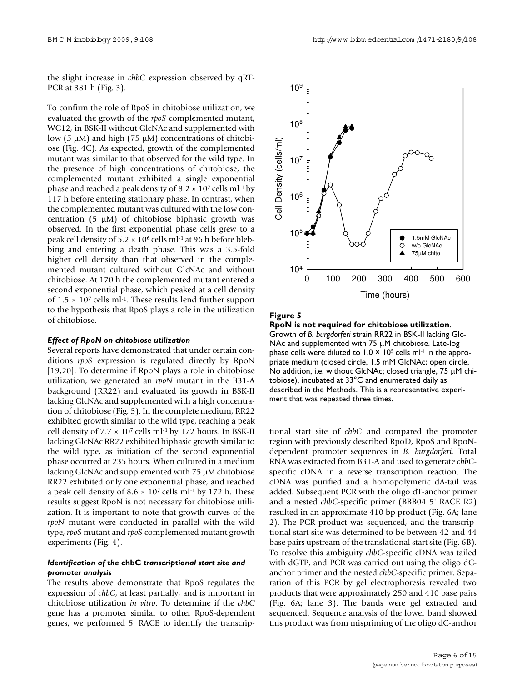the slight increase in *chbC* expression observed by qRT-PCR at 381 h (Fig. 3).

To confirm the role of RpoS in chitobiose utilization, we evaluated the growth of the *rpoS* complemented mutant, WC12, in BSK-II without GlcNAc and supplemented with low (5  $\mu$ M) and high (75  $\mu$ M) concentrations of chitobiose (Fig. 4C). As expected, growth of the complemented mutant was similar to that observed for the wild type. In the presence of high concentrations of chitobiose, the complemented mutant exhibited a single exponential phase and reached a peak density of 8.2  $\times$  10<sup>7</sup> cells ml<sup>-1</sup> by 117 h before entering stationary phase. In contrast, when the complemented mutant was cultured with the low concentration (5  $\mu$ M) of chitobiose biphasic growth was observed. In the first exponential phase cells grew to a peak cell density of  $5.2 \times 10^6$  cells ml<sup>-1</sup> at 96 h before blebbing and entering a death phase. This was a 3.5-fold higher cell density than that observed in the complemented mutant cultured without GlcNAc and without chitobiose. At 170 h the complemented mutant entered a second exponential phase, which peaked at a cell density of  $1.5 \times 10^7$  cells ml<sup>-1</sup>. These results lend further support to the hypothesis that RpoS plays a role in the utilization of chitobiose.

# *Effect of RpoN on chitobiose utilization*

Several reports have demonstrated that under certain conditions *rpoS* expression is regulated directly by RpoN [19,20]. To determine if RpoN plays a role in chitobiose utilization, we generated an *rpoN* mutant in the B31-A background (RR22) and evaluated its growth in BSK-II lacking GlcNAc and supplemented with a high concentration of chitobiose (Fig. 5). In the complete medium, RR22 exhibited growth similar to the wild type, reaching a peak cell density of  $7.7 \times 10^7$  cells ml<sup>-1</sup> by 172 hours. In BSK-II lacking GlcNAc RR22 exhibited biphasic growth similar to the wild type, as initiation of the second exponential phase occurred at 235 hours. When cultured in a medium lacking GlcNAc and supplemented with  $75 \mu$ M chitobiose RR22 exhibited only one exponential phase, and reached a peak cell density of 8.6  $\times$  10<sup>7</sup> cells ml<sup>-1</sup> by 172 h. These results suggest RpoN is not necessary for chitobiose utilization. It is important to note that growth curves of the *rpoN* mutant were conducted in parallel with the wild type, *rpoS* mutant and *rpoS* complemented mutant growth experiments (Fig. 4).

# *Identification of the* **chbC** *transcriptional start site and promoter analysis*

The results above demonstrate that RpoS regulates the expression of *chbC*, at least partially, and is important in chitobiose utilization *in vitro*. To determine if the *chbC* gene has a promoter similar to other RpoS-dependent genes, we performed 5' RACE to identify the transcrip-



# **Figure 5**

**RpoN is not required for chitobiose utilization**. Growth of *B. burgdorferi* strain RR22 in BSK-II lacking Glc-NAc and supplemented with  $75 \mu$ M chitobiose. Late-log phase cells were diluted to  $1.0 \times 10^5$  cells ml<sup>-1</sup> in the appropriate medium (closed circle, 1.5 mM GlcNAc; open circle, No addition, i.e. without GlcNAc; closed triangle,  $75 \mu$ M chitobiose), incubated at 33°C and enumerated daily as described in the Methods. This is a representative experiment that was repeated three times.

tional start site of *chbC* and compared the promoter region with previously described RpoD, RpoS and RpoNdependent promoter sequences in *B. burgdorferi*. Total RNA was extracted from B31-A and used to generate *chbC*specific cDNA in a reverse transcription reaction. The cDNA was purified and a homopolymeric dA-tail was added. Subsequent PCR with the oligo dT-anchor primer and a nested *chbC*-specific primer (BBB04 5' RACE R2) resulted in an approximate 410 bp product (Fig. 6A; lane 2). The PCR product was sequenced, and the transcriptional start site was determined to be between 42 and 44 base pairs upstream of the translational start site (Fig. 6B). To resolve this ambiguity *chbC*-specific cDNA was tailed with dGTP, and PCR was carried out using the oligo dCanchor primer and the nested *chbC*-specific primer. Separation of this PCR by gel electrophoresis revealed two products that were approximately 250 and 410 base pairs (Fig. 6A; lane 3). The bands were gel extracted and sequenced. Sequence analysis of the lower band showed this product was from mispriming of the oligo dC-anchor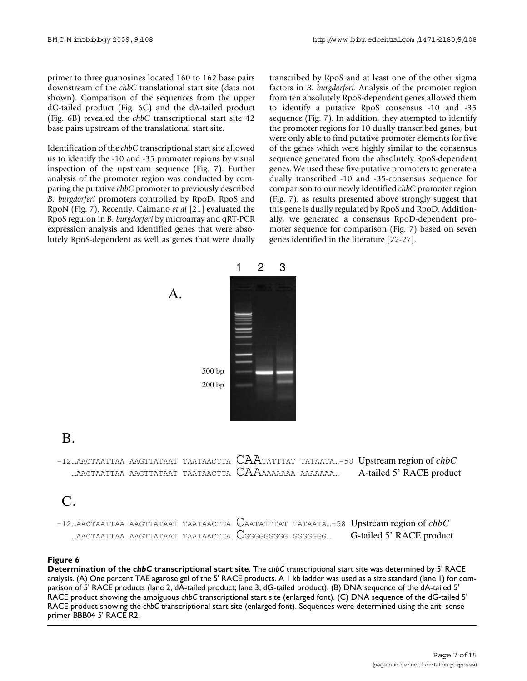primer to three guanosines located 160 to 162 base pairs downstream of the *chbC* translational start site (data not shown). Comparison of the sequences from the upper dG-tailed product (Fig. 6C) and the dA-tailed product (Fig. 6B) revealed the *chbC* transcriptional start site 42 base pairs upstream of the translational start site.

Identification of the *chbC* transcriptional start site allowed us to identify the -10 and -35 promoter regions by visual inspection of the upstream sequence (Fig. 7). Further analysis of the promoter region was conducted by comparing the putative *chbC* promoter to previously described *B. burgdorferi* promoters controlled by RpoD, RpoS and RpoN (Fig. 7). Recently, Caimano *et al* [21] evaluated the RpoS regulon in *B. burgdorferi* by microarray and qRT-PCR expression analysis and identified genes that were absolutely RpoS-dependent as well as genes that were dually transcribed by RpoS and at least one of the other sigma factors in *B. burgdorferi*. Analysis of the promoter region from ten absolutely RpoS-dependent genes allowed them to identify a putative RpoS consensus -10 and -35 sequence (Fig. 7). In addition, they attempted to identify the promoter regions for 10 dually transcribed genes, but were only able to find putative promoter elements for five of the genes which were highly similar to the consensus sequence generated from the absolutely RpoS-dependent genes. We used these five putative promoters to generate a dually transcribed -10 and -35-consensus sequence for comparison to our newly identified *chbC* promoter region (Fig. 7), as results presented above strongly suggest that this gene is dually regulated by RpoS and RpoD. Additionally, we generated a consensus RpoD-dependent promoter sequence for comparison (Fig. 7) based on seven genes identified in the literature [22-27].



# B.

 $-12$ <sub>…</sub>AACTAATTAA AAGTTATAAT TAATAACTTA  $\text{CAA}$ TATTTAT TATAATA<sub>…</sub>-58 Upstream region of *chbC* …AACTAATTAA AAGTTATAAT TAATAACTTA  $CAA$ AAAAAAAA AAAAAAA... A-tailed 5' RACE product

# $\mathcal{C}$ .

-12…AACTAATTAA AAGTTATAAT TAATAACTTA CAATATTTAT TATAATA…-58 Upstream region of *chbC* …AACTAATTAA AAGTTATAAT TAATAACTTA  $C$ GGGGGGGGGGGGGGGGG...  $G$ -tailed 5' RACE product

# **Figure 6**

**Determination of the** *chbC* **transcriptional start site**. The *chbC* transcriptional start site was determined by 5' RACE analysis. (A) One percent TAE agarose gel of the 5' RACE products. A 1 kb ladder was used as a size standard (lane 1) for comparison of 5' RACE products (lane 2, dA-tailed product; lane 3, dG-tailed product). (B) DNA sequence of the dA-tailed 5' RACE product showing the ambiguous *chbC* transcriptional start site (enlarged font). (C) DNA sequence of the dG-tailed 5' RACE product showing the *chbC* transcriptional start site (enlarged font). Sequences were determined using the anti-sense primer BBB04 5' RACE R2.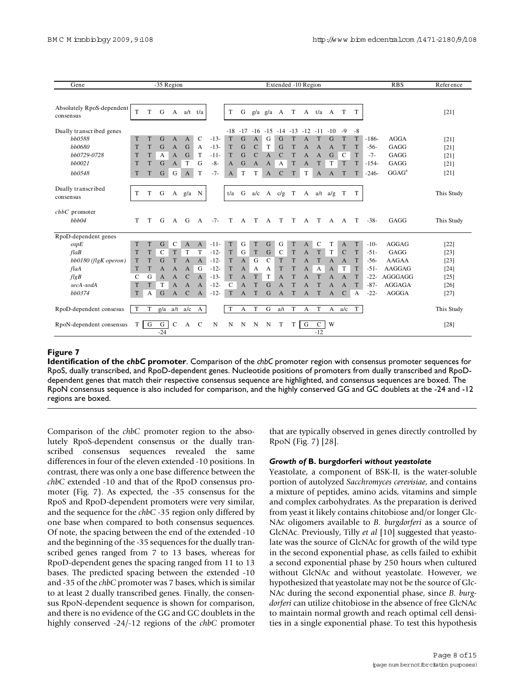| Gene                                   |    |   | -35 Region   |                |                |                |        |              |                |                |                |              | Extended -10 Region |                |                       |              |              |      |         | <b>RBS</b>        | Reference  |
|----------------------------------------|----|---|--------------|----------------|----------------|----------------|--------|--------------|----------------|----------------|----------------|--------------|---------------------|----------------|-----------------------|--------------|--------------|------|---------|-------------------|------------|
|                                        |    |   |              |                |                |                |        |              |                |                |                |              |                     |                |                       |              |              |      |         |                   |            |
| Absolutely RpoS-dependent<br>consensus | T  | T | G            |                | $A$ a/t t/a    |                |        | T            | G              |                | $g/a$ $g/a$ A  |              | T                   |                | $A$ t/a $A$           |              | T            | T    |         |                   | $[21]$     |
| Dually transcribed genes               |    |   |              |                |                |                |        | $-18$        | $-17$          | $-16$          | $-1.5$         | $-14$        | $-13$               | $-12$          | $-11$                 | $-10$        | $-9$         | $-8$ |         |                   |            |
| bb0588                                 | T  | T | G            | A              | A              | C              | $-13-$ | T            | G              | A              | G              | G            | T                   | A              |                       | G            | T            | T    | $-186-$ | <b>AGGA</b>       | $[21]$     |
| bb0680                                 | T  | T | G            | $\overline{A}$ | G              | $\mathbf{A}$   | $-13-$ | T            | G              | $\mathbf C$    | T              | G            | T                   | A              | A                     | A            | T            | T    | $-56-$  | GAGG              | $[21]$     |
| bb0729-0728                            | T  | T | $\mathbf{A}$ | A              | G              | T              | $-11-$ | T            | G              | $\mathbf C$    | $\overline{A}$ | $\mathsf{C}$ | T                   | $\overline{A}$ | $\mathbf{A}$          | G            | $\mathsf{C}$ | T    | $-7-$   | GAGG              | $[21]$     |
| bb0021                                 | T  | T | G            | $\mathbf{A}$   | T              | G              | $-8-$  | A            | G              | $\mathbf{A}$   | A              | $\mathbf{A}$ | T                   | A              | T                     | T            | T            | T    | $-154-$ | GAGG              | $[21]$     |
| bb0548                                 | T  | T | G            | G              | $\mathbf{A}$   | T              | $-7-$  | $\mathbf{A}$ | T              | T              | $\mathbf{A}$   | $\mathsf{C}$ | T                   | T              | $\mathbf{A}$          | $\mathbf{A}$ | T            | T    | $-246-$ | GGAG <sup>a</sup> | $[21]$     |
| Dually transcribed<br>consensus        | T  | T | G            |                | A $g/a$ N      |                |        | t/a          | G              | a/c            | $\mathbf{A}$   | $c/g$ T      |                     | A              |                       | $a/t$ $a/g$  | T            | T    |         |                   | This Study |
| $chbC$ promoter                        |    |   |              |                |                |                |        |              |                |                |                |              |                     |                |                       |              |              |      |         |                   |            |
| bbb04                                  | T  | T | G            | $\overline{A}$ | G              | $\overline{A}$ | $-7-$  | T            | A              | T              | A              | T            | T                   | $\overline{A}$ | T                     | A            | A            | T    | $-38-$  | GAGG              | This Study |
| RpoD-dependent genes                   |    |   |              |                |                |                |        |              |                |                |                |              |                     |                |                       |              |              |      |         |                   |            |
| ospE                                   | T  | T | G            | $\mathcal{C}$  | A              | $\mathbf{A}$   | $-11-$ | T            | G              | T              | G              | G            | T                   | A              | C                     | T            | A            | T    | $-10-$  | <b>AGGAG</b>      | $[22]$     |
| flaB                                   | T  | T | $\mathsf{C}$ | T              | T              | T              | $-12-$ | T            | G              | T              | G              | C            | T                   | $\overline{A}$ | T                     | T            | $\mathbf C$  | T    | $-51-$  | GAGG              | $[23]$     |
| $bb0180$ (flgK operon)                 | T  | T | G            | T              | A              | $\overline{A}$ | $-12-$ | T            | A              | G              | $\mathcal{C}$  | T            | T                   | A              | T                     | $\mathbf{A}$ | $\mathbf{A}$ | T    | $-56-$  | <b>AAGAA</b>      | $[23]$     |
| flaA                                   | T  | T | A            | $\mathbf{A}$   | A              | G              | $-12-$ | T            | A              | $\overline{A}$ | A              | T            | T                   | A              | $\mathbf{A}$          | $\mathbf{A}$ | T            | T    | $-51-$  | AAGGAG            | [24]       |
| flgB                                   | С  | G | $\mathbf{A}$ | $\overline{A}$ | $\mathcal{C}$  | $\overline{A}$ | $-13-$ | T            | $\overline{A}$ | T              | T              | A            | T                   | $\overline{A}$ | T                     | $\mathbf{A}$ | $\mathbf{A}$ | T    | $-22-$  | AGGGAGG           | $[25]$     |
| $secA$ -sodA                           | T  | T | T            | A              | $\overline{A}$ | $\overline{A}$ | $-12-$ | $\mathbf C$  | A              | T              | G              | A            | T                   | A              | T                     | A            | A            | T    | $-87-$  | <b>AGGAGA</b>     | $[26]$     |
| bb0374                                 | T  | A | G            | A              | $\mathsf{C}$   | $\overline{A}$ | $-12-$ | T            | $\mathbf{A}$   | T              | G              | A            | T                   | A              | T                     | A            | C            | A    | $-22-$  | <b>AGGGA</b>      | $[27]$     |
| RpoD-dependent consesus                | T  | T |              |                | $g/a$ a/t a/c  | $\mathbf{A}$   |        | T            | A              | T              | G              | a/t          | T                   | $\mathbf{A}$   | T                     | $\mathbf{A}$ | a/c          | T.   |         |                   | This Study |
| RpoN-dependent consensus               | T. | G | G<br>$-24$   | $\mathcal{C}$  | A              | $\mathcal{C}$  | N      | N            | N              | $\mathbf N$    | N              | T            | T                   | G              | $\mathbf{C}$<br>$-12$ | W            |              |      |         |                   | $[28]$     |

# **Figure 7**

**Identification of the** *chbC* **promoter**. Comparison of the *chbC* promoter region with consensus promoter sequences for RpoS, dually transcribed, and RpoD-dependent genes. Nucleotide positions of promoters from dually transcribed and RpoDdependent genes that match their respective consensus sequence are highlighted, and consensus sequences are boxed. The RpoN consensus sequence is also included for comparison, and the highly conserved GG and GC doublets at the -24 and -12 regions are boxed.

Comparison of the *chbC* promoter region to the absolutely RpoS-dependent consensus or the dually transcribed consensus sequences revealed the same differences in four of the eleven extended -10 positions. In contrast, there was only a one base difference between the *chbC* extended -10 and that of the RpoD consensus promoter (Fig. 7). As expected, the -35 consensus for the RpoS and RpoD-dependent promoters were very similar, and the sequence for the *chbC* -35 region only differed by one base when compared to both consensus sequences. Of note, the spacing between the end of the extended -10 and the beginning of the -35 sequences for the dually transcribed genes ranged from 7 to 13 bases, whereas for RpoD-dependent genes the spacing ranged from 11 to 13 bases. The predicted spacing between the extended -10 and -35 of the *chbC* promoter was 7 bases, which is similar to at least 2 dually transcribed genes. Finally, the consensus RpoN-dependent sequence is shown for comparison, and there is no evidence of the GG and GC doublets in the highly conserved -24/-12 regions of the *chbC* promoter that are typically observed in genes directly controlled by RpoN (Fig. 7) [28].

#### *Growth of* **B. burgdorferi** *without yeastolate*

Yeastolate, a component of BSK-II, is the water-soluble portion of autolyzed *Sacchromyces cerevisiae*, and contains a mixture of peptides, amino acids, vitamins and simple and complex carbohydrates. As the preparation is derived from yeast it likely contains chitobiose and/or longer Glc-NAc oligomers available to *B. burgdorferi* as a source of GlcNAc. Previously, Tilly *et al* [10] suggested that yeastolate was the source of GlcNAc for growth of the wild type in the second exponential phase, as cells failed to exhibit a second exponential phase by 250 hours when cultured without GlcNAc and without yeastolate. However, we hypothesized that yeastolate may not be the source of Glc-NAc during the second exponential phase, since *B. burgdorferi* can utilize chitobiose in the absence of free GlcNAc to maintain normal growth and reach optimal cell densities in a single exponential phase. To test this hypothesis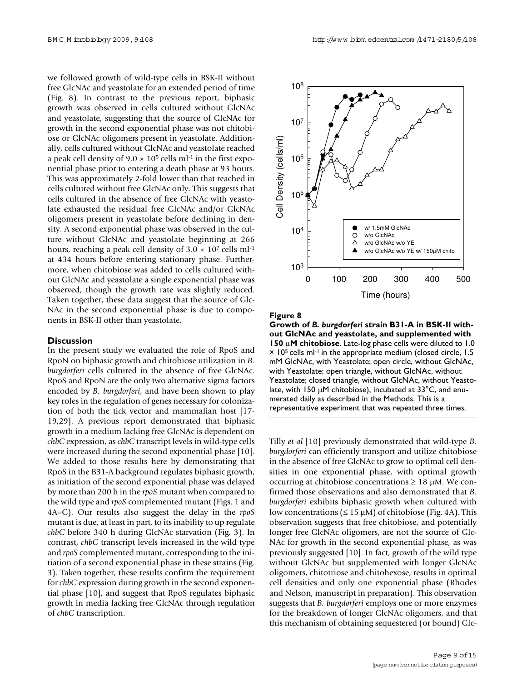we followed growth of wild-type cells in BSK-II without free GlcNAc and yeastolate for an extended period of time (Fig. 8). In contrast to the previous report, biphasic growth was observed in cells cultured without GlcNAc and yeastolate, suggesting that the source of GlcNAc for growth in the second exponential phase was not chitobiose or GlcNAc oligomers present in yeastolate. Additionally, cells cultured without GlcNAc and yeastolate reached a peak cell density of  $9.0 \times 10^5$  cells ml<sup>-1</sup> in the first exponential phase prior to entering a death phase at 93 hours. This was approximately 2-fold lower than that reached in cells cultured without free GlcNAc only. This suggests that cells cultured in the absence of free GlcNAc with yeastolate exhausted the residual free GlcNAc and/or GlcNAc oligomers present in yeastolate before declining in density. A second exponential phase was observed in the culture without GlcNAc and yeastolate beginning at 266 hours, reaching a peak cell density of  $3.0 \times 10^7$  cells ml<sup>-1</sup> at 434 hours before entering stationary phase. Furthermore, when chitobiose was added to cells cultured without GlcNAc and yeastolate a single exponential phase was observed, though the growth rate was slightly reduced. Taken together, these data suggest that the source of Glc-NAc in the second exponential phase is due to components in BSK-II other than yeastolate.

#### **Discussion**

In the present study we evaluated the role of RpoS and RpoN on biphasic growth and chitobiose utilization in *B. burgdorferi* cells cultured in the absence of free GlcNAc. RpoS and RpoN are the only two alternative sigma factors encoded by *B. burgdorferi*, and have been shown to play key roles in the regulation of genes necessary for colonization of both the tick vector and mammalian host [17- 19,29]. A previous report demonstrated that biphasic growth in a medium lacking free GlcNAc is dependent on *chbC* expression, as *chbC* transcript levels in wild-type cells were increased during the second exponential phase [10]. We added to those results here by demonstrating that RpoS in the B31-A background regulates biphasic growth, as initiation of the second exponential phase was delayed by more than 200 h in the *rpoS* mutant when compared to the wild type and *rpoS* complemented mutant (Figs. 1 and 4A–C). Our results also suggest the delay in the *rpoS* mutant is due, at least in part, to its inability to up regulate *chbC* before 340 h during GlcNAc starvation (Fig. 3). In contrast, *chbC* transcript levels increased in the wild type and *rpoS* complemented mutant, corresponding to the initiation of a second exponential phase in these strains (Fig. 3). Taken together, these results confirm the requirement for *chbC* expression during growth in the second exponential phase [10], and suggest that RpoS regulates biphasic growth in media lacking free GlcNAc through regulation of *chbC* transcription.



# **Figure 8**

**Growth of** *B. burgdorferi* **strain B31-A in BSK-II without GlcNAc and yeastolate, and supplemented with 150** µ**M chitobiose**. Late-log phase cells were diluted to 1.0  $\times$  10<sup>5</sup> cells ml<sup>-1</sup> in the appropriate medium (closed circle, 1.5) mM GlcNAc, with Yeastolate; open circle, without GlcNAc, with Yeastolate; open triangle, without GlcNAc, without Yeastolate; closed triangle, without GlcNAc, without Yeastolate, with 150  $\mu$ M chitobiose), incubated at 33 $\degree$ C, and enumerated daily as described in the Methods. This is a representative experiment that was repeated three times.

Tilly *et al* [10] previously demonstrated that wild-type *B. burgdorferi* can efficiently transport and utilize chitobiose in the absence of free GlcNAc to grow to optimal cell densities in one exponential phase, with optimal growth occurring at chitobiose concentrations  $\geq 18$  µM. We confirmed those observations and also demonstrated that *B. burgdorferi* exhibits biphasic growth when cultured with low concentrations ( $\leq 15 \mu M$ ) of chitobiose (Fig. 4A). This observation suggests that free chitobiose, and potentially longer free GlcNAc oligomers, are not the source of Glc-NAc for growth in the second exponential phase, as was previously suggested [10]. In fact, growth of the wild type without GlcNAc but supplemented with longer GlcNAc oligomers, chitotriose and chitohexose, results in optimal cell densities and only one exponential phase (Rhodes and Nelson, manuscript in preparation). This observation suggests that *B. burgdorferi* employs one or more enzymes for the breakdown of longer GlcNAc oligomers, and that this mechanism of obtaining sequestered (or bound) Glc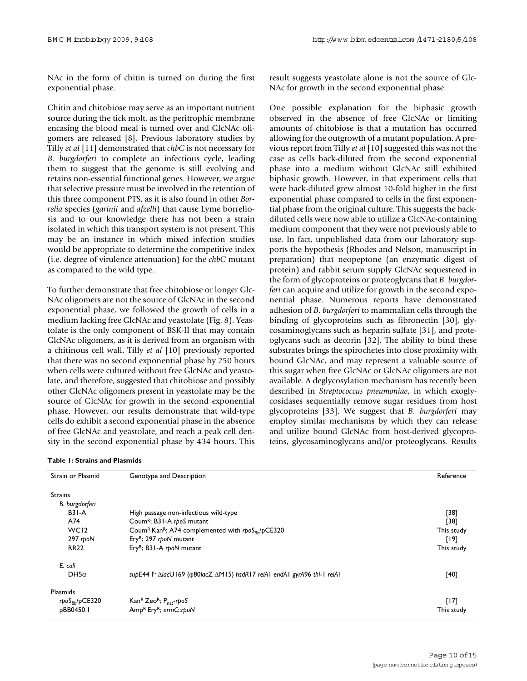NAc in the form of chitin is turned on during the first exponential phase.

Chitin and chitobiose may serve as an important nutrient source during the tick molt, as the peritrophic membrane encasing the blood meal is turned over and GlcNAc oligomers are released [8]. Previous laboratory studies by Tilly *et al* [11] demonstrated that *chbC* is not necessary for *B. burgdorferi* to complete an infectious cycle, leading them to suggest that the genome is still evolving and retains non-essential functional genes. However, we argue that selective pressure must be involved in the retention of this three component PTS, as it is also found in other *Borrelia* species (*garinii* and *afzelli*) that cause Lyme borreliosis and to our knowledge there has not been a strain isolated in which this transport system is not present. This may be an instance in which mixed infection studies would be appropriate to determine the competitive index (i.e. degree of virulence attenuation) for the *chbC* mutant as compared to the wild type.

To further demonstrate that free chitobiose or longer Glc-NAc oligomers are not the source of GlcNAc in the second exponential phase, we followed the growth of cells in a medium lacking free GlcNAc and yeastolate (Fig. 8). Yeastolate is the only component of BSK-II that may contain GlcNAc oligomers, as it is derived from an organism with a chitinous cell wall. Tilly *et al* [10] previously reported that there was no second exponential phase by 250 hours when cells were cultured without free GlcNAc and yeastolate, and therefore, suggested that chitobiose and possibly other GlcNAc oligomers present in yeastolate may be the source of GlcNAc for growth in the second exponential phase. However, our results demonstrate that wild-type cells do exhibit a second exponential phase in the absence of free GlcNAc and yeastolate, and reach a peak cell density in the second exponential phase by 434 hours. This

**Table 1: Strains and Plasmids**

result suggests yeastolate alone is not the source of Glc-NAc for growth in the second exponential phase.

One possible explanation for the biphasic growth observed in the absence of free GlcNAc or limiting amounts of chitobiose is that a mutation has occurred allowing for the outgrowth of a mutant population. A previous report from Tilly *et al* [10] suggested this was not the case as cells back-diluted from the second exponential phase into a medium without GlcNAc still exhibited biphasic growth. However, in that experiment cells that were back-diluted grew almost 10-fold higher in the first exponential phase compared to cells in the first exponential phase from the original culture. This suggests the backdiluted cells were now able to utilize a GlcNAc-containing medium component that they were not previously able to use. In fact, unpublished data from our laboratory supports the hypothesis (Rhodes and Nelson, manuscript in preparation) that neopeptone (an enzymatic digest of protein) and rabbit serum supply GlcNAc sequestered in the form of glycoproteins or proteoglycans that *B. burgdorferi* can acquire and utilize for growth in the second exponential phase. Numerous reports have demonstrated adhesion of *B. burgdorferi* to mammalian cells through the binding of glycoproteins such as fibronectin [30], glycosaminoglycans such as heparin sulfate [31], and proteoglycans such as decorin [32]. The ability to bind these substrates brings the spirochetes into close proximity with bound GlcNAc, and may represent a valuable source of this sugar when free GlcNAc or GlcNAc oligomers are not available. A deglycosylation mechanism has recently been described in *Streptococcus pneumoniae*, in which exoglycosidases sequentially remove sugar residues from host glycoproteins [33]. We suggest that *B. burgdorferi* may employ similar mechanisms by which they can release and utilize bound GlcNAc from host-derived glycoproteins, glycosaminoglycans and/or proteoglycans. Results

| Strain or Plasmid          | Genotype and Description                                                      | Reference  |
|----------------------------|-------------------------------------------------------------------------------|------------|
| Strains                    |                                                                               |            |
| B. burgdorferi             |                                                                               |            |
| $B3I-A$                    | High passage non-infectious wild-type                                         | [38]       |
| A74                        | Coum <sup>R</sup> ; B31-A rpoS mutant                                         | [38]       |
| WC <sub>12</sub>           | Coum <sup>R</sup> Kan <sup>R</sup> ; A74 complemented with $rboS_{Rh}/pCE320$ | This study |
| 297 rpoN                   | Ery <sup>R</sup> ; 297 rpoN mutant                                            | [19]       |
| <b>RR22</b>                | Ery <sup>R</sup> ; B31-A rpoN mutant                                          | This study |
| E. coli                    |                                                                               |            |
| DH5 $\alpha$               | supE44 F △lacU169 (oß0lacZ △M15) hsdR17 relA1 endA1 gyrA96 thi-1 relA1        | [40]       |
| Plasmids                   |                                                                               |            |
| rpoS <sub>Bb</sub> /pCE320 | Kan <sup>R</sup> Zeo <sup>R</sup> ; $P_{\text{nat}}$ -rpoS                    | [17]       |
| pBB0450.1                  | Amp <sup>R</sup> Ery <sup>R</sup> ; ermC::rpoN                                | This study |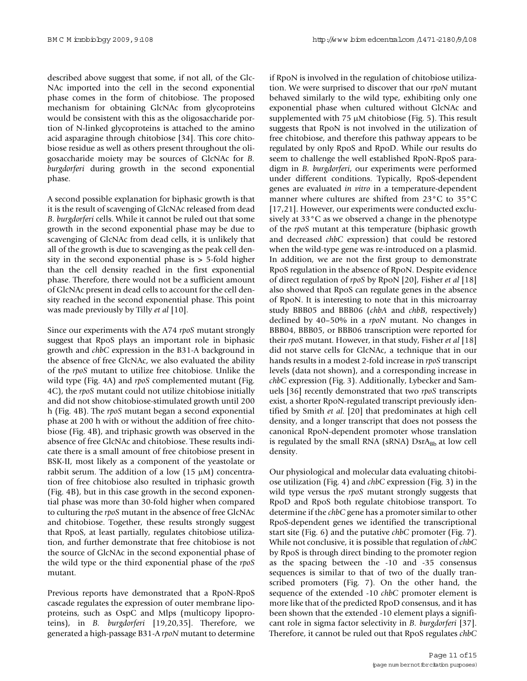described above suggest that some, if not all, of the Glc-NAc imported into the cell in the second exponential phase comes in the form of chitobiose. The proposed mechanism for obtaining GlcNAc from glycoproteins would be consistent with this as the oligosaccharide portion of N-linked glycoproteins is attached to the amino acid asparagine through chitobiose [34]. This core chitobiose residue as well as others present throughout the oligosaccharide moiety may be sources of GlcNAc for *B. burgdorferi* during growth in the second exponential phase.

A second possible explanation for biphasic growth is that it is the result of scavenging of GlcNAc released from dead *B. burgdorferi* cells. While it cannot be ruled out that some growth in the second exponential phase may be due to scavenging of GlcNAc from dead cells, it is unlikely that all of the growth is due to scavenging as the peak cell density in the second exponential phase is > 5-fold higher than the cell density reached in the first exponential phase. Therefore, there would not be a sufficient amount of GlcNAc present in dead cells to account for the cell density reached in the second exponential phase. This point was made previously by Tilly *et al* [10].

Since our experiments with the A74 *rpoS* mutant strongly suggest that RpoS plays an important role in biphasic growth and *chbC* expression in the B31-A background in the absence of free GlcNAc, we also evaluated the ability of the *rpoS* mutant to utilize free chitobiose. Unlike the wild type (Fig. 4A) and *rpoS* complemented mutant (Fig. 4C), the *rpoS* mutant could not utilize chitobiose initially and did not show chitobiose-stimulated growth until 200 h (Fig. 4B). The *rpoS* mutant began a second exponential phase at 200 h with or without the addition of free chitobiose (Fig. 4B), and triphasic growth was observed in the absence of free GlcNAc and chitobiose. These results indicate there is a small amount of free chitobiose present in BSK-II, most likely as a component of the yeastolate or rabbit serum. The addition of a low  $(15 \mu M)$  concentration of free chitobiose also resulted in triphasic growth (Fig. 4B), but in this case growth in the second exponential phase was more than 30-fold higher when compared to culturing the *rpoS* mutant in the absence of free GlcNAc and chitobiose. Together, these results strongly suggest that RpoS, at least partially, regulates chitobiose utilization, and further demonstrate that free chitobiose is not the source of GlcNAc in the second exponential phase of the wild type or the third exponential phase of the *rpoS* mutant.

Previous reports have demonstrated that a RpoN-RpoS cascade regulates the expression of outer membrane lipoproteins, such as OspC and Mlps (multicopy lipoproteins), in *B. burgdorferi* [19,20,35]. Therefore, we generated a high-passage B31-A *rpoN* mutant to determine

if RpoN is involved in the regulation of chitobiose utilization. We were surprised to discover that our *rpoN* mutant behaved similarly to the wild type, exhibiting only one exponential phase when cultured without GlcNAc and supplemented with 75  $\mu$ M chitobiose (Fig. 5). This result suggests that RpoN is not involved in the utilization of free chitobiose, and therefore this pathway appears to be regulated by only RpoS and RpoD. While our results do seem to challenge the well established RpoN-RpoS paradigm in *B. burgdorferi*, our experiments were performed under different conditions. Typically, RpoS-dependent genes are evaluated *in vitro* in a temperature-dependent manner where cultures are shifted from 23°C to 35°C [17,21]. However, our experiments were conducted exclusively at 33°C as we observed a change in the phenotype of the *rpoS* mutant at this temperature (biphasic growth and decreased *chbC* expression) that could be restored when the wild-type gene was re-introduced on a plasmid. In addition, we are not the first group to demonstrate RpoS regulation in the absence of RpoN. Despite evidence of direct regulation of *rpoS* by RpoN [20], Fisher *et al* [18] also showed that RpoS can regulate genes in the absence of RpoN. It is interesting to note that in this microarray study BBB05 and BBB06 (*chbA* and *chbB*, respectively) declined by 40–50% in a *rpoN* mutant. No changes in BBB04, BBB05, or BBB06 transcription were reported for their *rpoS* mutant. However, in that study, Fisher *et al* [18] did not starve cells for GlcNAc, a technique that in our hands results in a modest 2-fold increase in *rpoS* transcript levels (data not shown), and a corresponding increase in *chbC* expression (Fig. 3). Additionally, Lybecker and Samuels [36] recently demonstrated that two *rpoS* transcripts exist, a shorter RpoN-regulated transcript previously identified by Smith *et al*. [20] that predominates at high cell density, and a longer transcript that does not possess the canonical RpoN-dependent promoter whose translation is regulated by the small RNA (sRNA)  $\rm{DsrA}_{\rm{Rh}}$  at low cell density.

Our physiological and molecular data evaluating chitobiose utilization (Fig. 4) and *chbC* expression (Fig. 3) in the wild type versus the *rpoS* mutant strongly suggests that RpoD and RpoS both regulate chitobiose transport. To determine if the *chbC* gene has a promoter similar to other RpoS-dependent genes we identified the transcriptional start site (Fig. 6) and the putative *chbC* promoter (Fig. 7). While not conclusive, it is possible that regulation of *chbC* by RpoS is through direct binding to the promoter region as the spacing between the -10 and -35 consensus sequences is similar to that of two of the dually transcribed promoters (Fig. 7). On the other hand, the sequence of the extended -10 *chbC* promoter element is more like that of the predicted RpoD consensus, and it has been shown that the extended -10 element plays a significant role in sigma factor selectivity in *B. burgdorferi* [37]. Therefore, it cannot be ruled out that RpoS regulates *chbC*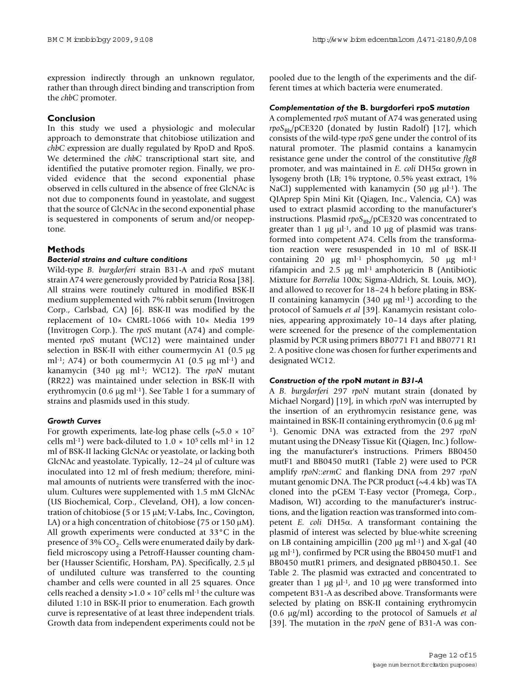expression indirectly through an unknown regulator, rather than through direct binding and transcription from the *chbC* promoter.

# **Conclusion**

In this study we used a physiologic and molecular approach to demonstrate that chitobiose utilization and *chbC* expression are dually regulated by RpoD and RpoS. We determined the *chbC* transcriptional start site, and identified the putative promoter region. Finally, we provided evidence that the second exponential phase observed in cells cultured in the absence of free GlcNAc is not due to components found in yeastolate, and suggest that the source of GlcNAc in the second exponential phase is sequestered in components of serum and/or neopeptone.

# **Methods**

## *Bacterial strains and culture conditions*

Wild-type *B. burgdorferi* strain B31-A and *rpoS* mutant strain A74 were generously provided by Patricia Rosa [38]. All strains were routinely cultured in modified BSK-II medium supplemented with 7% rabbit serum (Invitrogen Corp., Carlsbad, CA) [6]. BSK-II was modified by the replacement of 10× CMRL-1066 with 10× Media 199 (Invitrogen Corp.). The *rpoS* mutant (A74) and complemented *rpoS* mutant (WC12) were maintained under selection in BSK-II with either coumermycin A1 ( $0.5 \mu$ g ml<sup>-1</sup>; A74) or both coumermycin A1 (0.5  $\mu$ g ml<sup>-1</sup>) and kanamycin (340 µg ml<sup>-1</sup>; WC12). The *rpoN* mutant (RR22) was maintained under selection in BSK-II with erythromycin (0.6  $\mu$ g ml<sup>-1</sup>). See Table 1 for a summary of strains and plasmids used in this study.

# *Growth Curves*

For growth experiments, late-log phase cells ( $\sim$ 5.0  $\times$  10<sup>7</sup> cells ml<sup>-1</sup>) were back-diluted to  $1.0 \times 10^5$  cells ml<sup>-1</sup> in 12 ml of BSK-II lacking GlcNAc or yeastolate, or lacking both GlcNAc and yeastolate. Typically,  $12-24$   $\mu$ l of culture was inoculated into 12 ml of fresh medium; therefore, minimal amounts of nutrients were transferred with the inoculum. Cultures were supplemented with 1.5 mM GlcNAc (US Biochemical, Corp., Cleveland, OH), a low concentration of chitobiose (5 or 15  $\mu$ M; V-Labs, Inc., Covington, LA) or a high concentration of chitobiose (75 or 150  $\mu$ M). All growth experiments were conducted at 33°C in the presence of 3%  $CO<sub>2</sub>$ . Cells were enumerated daily by darkfield microscopy using a Petroff-Hausser counting chamber (Hausser Scientific, Horsham, PA). Specifically, 2.5 µl of undiluted culture was transferred to the counting chamber and cells were counted in all 25 squares. Once cells reached a density  $>1.0 \times 10^7$  cells ml<sup>-1</sup> the culture was diluted 1:10 in BSK-II prior to enumeration. Each growth curve is representative of at least three independent trials. Growth data from independent experiments could not be pooled due to the length of the experiments and the different times at which bacteria were enumerated.

# *Complementation of the* **B. burgdorferi rpoS** *mutation*

A complemented *rpoS* mutant of A74 was generated using rpoS<sub>Bb</sub>/pCE320 (donated by Justin Radolf) [17], which consists of the wild-type *rpoS* gene under the control of its natural promoter. The plasmid contains a kanamycin resistance gene under the control of the constitutive *flgB* promoter, and was maintained in *E. coli* DH5α grown in lysogeny broth (LB; 1% tryptone, 0.5% yeast extract, 1% NaCl) supplemented with kanamycin (50  $\mu$ g  $\mu$ l-1). The QIAprep Spin Mini Kit (Qiagen, Inc., Valencia, CA) was used to extract plasmid according to the manufacturer's instructions. Plasmid *rpoS*<sub>Bb</sub>/pCE320 was concentrated to greater than 1  $\mu$ g  $\mu$ l<sup>-1</sup>, and 10  $\mu$ g of plasmid was transformed into competent A74. Cells from the transformation reaction were resuspended in 10 ml of BSK-II containing 20  $\mu$ g ml<sup>-1</sup> phosphomycin, 50  $\mu$ g ml<sup>-1</sup> rifampicin and 2.5  $\mu$ g ml<sup>-1</sup> amphotericin B (Antibiotic Mixture for *Borrelia* 100x; Sigma-Aldrich, St. Louis, MO), and allowed to recover for 18–24 h before plating in BSK-II containing kanamycin  $(340 \mu g \text{ ml-1})$  according to the protocol of Samuels *et al* [39]. Kanamycin resistant colonies, appearing approximately 10–14 days after plating, were screened for the presence of the complementation plasmid by PCR using primers BB0771 F1 and BB0771 R1 2. A positive clone was chosen for further experiments and designated WC12.

#### *Construction of the* **rpoN** *mutant in B31-A*

A *B. burgdorferi* 297 *rpoN* mutant strain (donated by Michael Norgard) [19], in which *rpoN* was interrupted by the insertion of an erythromycin resistance gene, was maintained in BSK-II containing erythromycin  $(0.6 \mu g$  ml-1). Genomic DNA was extracted from the 297 *rpoN* mutant using the DNeasy Tissue Kit (Qiagen, Inc.) following the manufacturer's instructions. Primers BB0450 mutF1 and BB0450 mutR1 (Table 2) were used to PCR amplify *rpoN*::*ermC* and flanking DNA from 297 *rpoN* mutant genomic DNA. The PCR product (~4.4 kb) was TA cloned into the pGEM T-Easy vector (Promega, Corp., Madison, WI) according to the manufacturer's instructions, and the ligation reaction was transformed into competent  $E.$  *coli* DH5 $\alpha$ . A transformant containing the plasmid of interest was selected by blue-white screening on LB containing ampicillin  $(200 \mu g \text{ ml-1})$  and X-gal  $(40 \mu g \text{ m})$  $\mu$ g ml<sup>-1</sup>), confirmed by PCR using the BB0450 mutF1 and BB0450 mutR1 primers, and designated pBB0450.1. See Table 2. The plasmid was extracted and concentrated to greater than 1  $\mu$ g  $\mu$ -1, and 10  $\mu$ g were transformed into competent B31-A as described above. Transformants were selected by plating on BSK-II containing erythromycin (0.6 Pg/ml) according to the protocol of Samuels *et al* [39]. The mutation in the *rpoN* gene of B31-A was con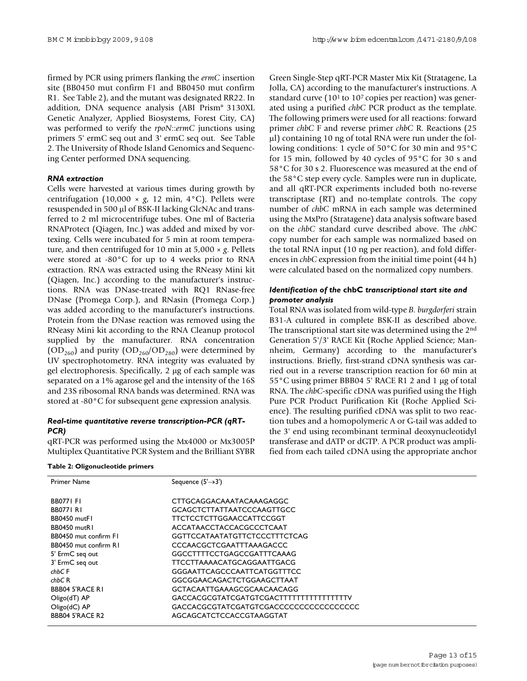firmed by PCR using primers flanking the *ermC* insertion site (BB0450 mut confirm F1 and BB0450 mut confirm R1. See Table 2), and the mutant was designated RR22. In addition, DNA sequence analysis (ABI Prism® 3130XL Genetic Analyzer, Applied Biosystems, Forest City, CA) was performed to verify the *rpoN*::*ermC* junctions using primers 5' ermC seq out and 3' ermC seq out. See Table 2. The University of Rhode Island Genomics and Sequencing Center performed DNA sequencing.

## *RNA extraction*

Cells were harvested at various times during growth by centrifugation (10,000 × *g*, 12 min, 4°C). Pellets were resuspended in 500 µl of BSK-II lacking GlcNAc and transferred to 2 ml microcentrifuge tubes. One ml of Bacteria RNAProtect (Qiagen, Inc.) was added and mixed by vortexing. Cells were incubated for 5 min at room temperature, and then centrifuged for 10 min at 5,000 × *g*. Pellets were stored at -80°C for up to 4 weeks prior to RNA extraction. RNA was extracted using the RNeasy Mini kit (Qiagen, Inc.) according to the manufacturer's instructions. RNA was DNase-treated with RQ1 RNase-free DNase (Promega Corp.), and RNasin (Promega Corp.) was added according to the manufacturer's instructions. Protein from the DNase reaction was removed using the RNeasy Mini kit according to the RNA Cleanup protocol supplied by the manufacturer. RNA concentration  $(OD<sub>260</sub>)$  and purity  $(OD<sub>260</sub>/OD<sub>280</sub>)$  were determined by UV spectrophotometry. RNA integrity was evaluated by gel electrophoresis. Specifically,  $2 \mu$ g of each sample was separated on a 1% agarose gel and the intensity of the 16S and 23S ribosomal RNA bands was determined. RNA was stored at -80°C for subsequent gene expression analysis.

# *Real-time quantitative reverse transcription-PCR (qRT-PCR)*

qRT-PCR was performed using the Mx4000 or Mx3005P Multiplex Quantitative PCR System and the Brilliant SYBR

#### **Table 2: Oligonucleotide primers**

Green Single-Step qRT-PCR Master Mix Kit (Stratagene, La Jolla, CA) according to the manufacturer's instructions. A standard curve  $(10<sup>1</sup>$  to  $10<sup>7</sup>$  copies per reaction) was generated using a purified *chbC* PCR product as the template. The following primers were used for all reactions: forward primer *chbC* F and reverse primer *chbC* R. Reactions (25  $\mu$ ) containing 10 ng of total RNA were run under the following conditions: 1 cycle of 50°C for 30 min and 95°C for 15 min, followed by 40 cycles of 95°C for 30 s and 58°C for 30 s 2. Fluorescence was measured at the end of the 58°C step every cycle. Samples were run in duplicate, and all qRT-PCR experiments included both no-reverse transcriptase (RT) and no-template controls. The copy number of *chbC* mRNA in each sample was determined using the MxPro (Stratagene) data analysis software based on the *chbC* standard curve described above. The *chbC* copy number for each sample was normalized based on the total RNA input (10 ng per reaction), and fold differences in *chbC* expression from the initial time point (44 h) were calculated based on the normalized copy numbers.

# *Identification of the* **chbC** *transcriptional start site and promoter analysis*

Total RNA was isolated from wild-type *B. burgdorferi* strain B31-A cultured in complete BSK-II as described above. The transcriptional start site was determined using the 2nd Generation 5'/3' RACE Kit (Roche Applied Science; Mannheim, Germany) according to the manufacturer's instructions. Briefly, first-strand cDNA synthesis was carried out in a reverse transcription reaction for 60 min at  $55^{\circ}$ C using primer BBB04 5' RACE R1 2 and 1  $\mu$ g of total RNA. The *chbC-*specific cDNA was purified using the High Pure PCR Product Purification Kit (Roche Applied Science). The resulting purified cDNA was split to two reaction tubes and a homopolymeric A or G-tail was added to the 3' end using recombinant terminal deoxynucleotidyl transferase and dATP or dGTP. A PCR product was amplified from each tailed cDNA using the appropriate anchor

| <b>Primer Name</b>     | Sequence $(5' \rightarrow 3')$    |
|------------------------|-----------------------------------|
| <b>BB0771 F1</b>       | CTTGCAGGACAAATACAAAGAGGC          |
| <b>BB0771 R1</b>       | <b>GCAGCTCTTATTAATCCCAAGTTGCC</b> |
| BB0450 mutFI           | TTCTCCTCTTGGAACCATTCCGGT          |
| BB0450 mutR1           | ACCATAACCTACCACGCCCTCAAT          |
| BB0450 mut confirm FI  | GGTTCCATAATATGTTCTCCCTTTCTCAG     |
| BB0450 mut confirm R1  | CCCAACGCTCGAATTTAAAGACCC          |
| 5' ErmC seq out        | GGCCTTTTCCTGAGCCGATTTCAAAG        |
| 3' ErmC seq out        | TTCCTTAAAACATGCAGGAATTGACG        |
| $chbC$ F               | GGGAATTCAGCCCAATTCATGGTTTCC       |
| $chbC$ R               | GGCGGAACAGACTCTGGAAGCTTAAT        |
| <b>BBB04 5'RACE RI</b> | GCTACAATTGAAAGCGCAACAACAGG        |
| Oligo(dT) AP           | GACCACGCGTATCGATGTCGACTTTTTTTT    |
| Oligo(dC) AP           |                                   |
| <b>BBB04 5'RACE R2</b> | AGCAGCATCTCCACCGTAAGGTAT          |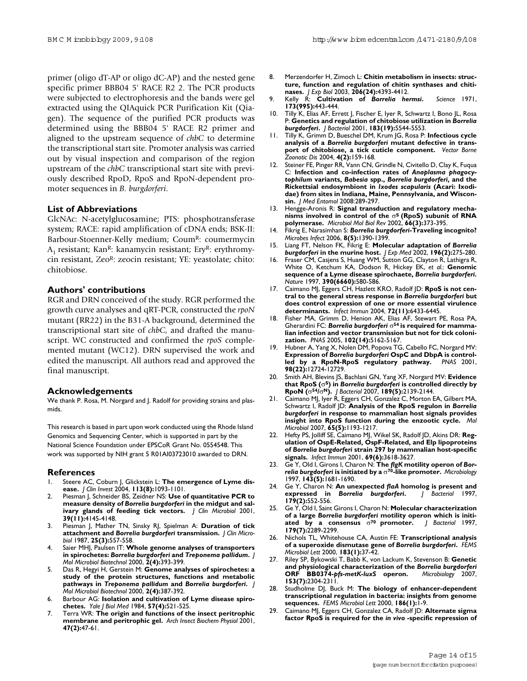primer (oligo dT-AP or oligo dC-AP) and the nested gene specific primer BBB04 5' RACE R2 2. The PCR products were subjected to electrophoresis and the bands were gel extracted using the QIAquick PCR Purification Kit (Qiagen). The sequence of the purified PCR products was determined using the BBB04 5' RACE R2 primer and aligned to the upstream sequence of *chbC* to determine the transcriptional start site. Promoter analysis was carried out by visual inspection and comparison of the region upstream of the *chbC* transcriptional start site with previously described RpoD, RpoS and RpoN-dependent promoter sequences in *B. burgdorferi*.

## **List of Abbreviations**

GlcNAc: N-acetylglucosamine; PTS: phosphotransferase system; RACE: rapid amplification of cDNA ends; BSK-II: Barbour-Stoenner-Kelly medium; Coum<sup>R</sup>: coumermycin  $A_1$  resistant; Kan $R$ : kanamycin resistant; Ery $R$ : erythromycin resistant, ZeoR: zeocin resistant; YE: yeastolate; chito: chitobiose.

## **Authors' contributions**

RGR and DRN conceived of the study. RGR performed the growth curve analyses and qRT-PCR, constructed the *rpoN* mutant (RR22) in the B31-A background, determined the transcriptional start site of *chbC*, and drafted the manuscript. WC constructed and confirmed the *rpoS* complemented mutant (WC12). DRN supervised the work and edited the manuscript. All authors read and approved the final manuscript.

#### **Acknowledgements**

We thank P. Rosa, M. Norgard and J. Radolf for providing strains and plasmids.

This research is based in part upon work conducted using the Rhode Island Genomics and Sequencing Center, which is supported in part by the National Science Foundation under EPSCoR Grant No. 0554548. This work was supported by NIH grant 5 R01AI03723010 awarded to DRN.

#### **References**

- 1. Steere AC, Coburn J, Glickstein L: **The emergence of Lyme disease.** *J Clin Invest* 2004, **113(8):**1093-1101.
- 2. Piesman J, Schneider BS, Zeidner NS: **Use of quantitative PCR to measure density of** *Borrelia burgdorferi* **in the midgut and salivary glands of feeding tick vectors.** *J Clin Microbiol* 2001, **39(11):**4145-4148.
- 3. Piesman J, Mather TN, Sinsky RJ, Spielman A: **Duration of tick attachment and** *Borrelia burgdorferi* **transmission.** *J Clin Microbiol* 1987, **25(3):**557-558.
- 4. Saier MHJ, Paulsen IT: **Whole genome analyses of transporters in spirochetes:** *Borrelia burgdorferi* **and** *Treponema pallidum***.** *J Mol Microbiol Biotechnol* 2000, **2(4):**393-399.
- 5. Das R, Hegyi H, Gerstein M: **Genome analyses of spirochetes: a study of the protein structures, functions and metabolic pathways in** *Treponema pallidum* **and** *Borrelia burgdorferi***.** *J Mol Microbiol Biotechnol* 2000, **2(4):**387-392.
- 6. Barbour AG: **Isolation and cultivation of Lyme disease spirochetes.** *Yale J Biol Med* 1984, **57(4):**521-525.
- 7. Terra WR: **The origin and functions of the insect peritrophic membrane and peritrophic gel.** *Arch Insect Biochem Physiol* 2001, **47(2):**47-61.
- 8. Merzendorfer H, Zimoch L: **Chitin metabolism in insects: structure, function and regulation of chitin synthases and chitinases.** *J Exp Biol* 2003, **206(24):**4393-4412.
- 9. Kelly R: **Cultivation of** *Borrelia hermsi***.** *Science* 1971, **173(995):**443-444.
- 10. Tilly K, Elias AF, Errett J, Fischer E, Iyer R, Schwartz I, Bono JL, Rosa P: **Genetics and regulation of chitobiose utilization in** *Borrelia burgdorferi***.** *J Bacteriol* 2001, **183(19):**5544-5553.
- 11. Tilly K, Grimm D, Bueschel DM, Krum JG, Rosa P: **Infectious cycle analysis of a** *Borrelia burgdorferi* **mutant defective in transport of chitobiose, a tick cuticle component.** *Vector Borne Zoonotic Dis* 2004, **4(2):**159-168.
- 12. Steiner FE, Pinger RR, Vann CN, Grindle N, Civitello D, Clay K, Fuqua C: **Infection and co-infection rates of** *Anaplasma phagocytophilum* **variants,** *Babesia* **spp.,** *Borrelia burgdorferi***, and the Rickettsial endosymbiont in** *Ixodes scapularis* **(Acari: Ixodidae) from sites in Indiana, Maine, Pennsylvania, and Wisconsin.** *J Med Entomol* 2008:289-297.
- 13. Hengge-Aronis R: **Signal transduction and regulatory mechanisms involved in control of the**  $\sigma$ **<sup>S</sup> (RpoS) subunit of RNA polymerase.** *Microbiol Mol Biol Rev* 2002, **66(3):**373-395.
- 14. Fikrig E, Narasimhan S: *Borrelia burgdorferi***-Traveling incognito?** *Microbes Infect* 2006, **8(5):**1390-1399.
- 15. Liang FT, Nelson FK, Fikrig E: **Molecular adaptation of** *Borrelia burgdorferi* **in the murine host.** *J Exp Med* 2002, **196(2):**275-280.
- 16. Fraser CM, Casjens S, Huang WM, Sutton GG, Clayton R, Lathigra R, White O, Ketchum KA, Dodson R, Hickey EK, *et al.*: **Genomic sequence of a Lyme disease spirochaete,** *Borrelia burgdorferi***.** *Nature* 1997, **390(6660):**580-586.
- 17. Caimano MJ, Eggers CH, Hazlett KRO, Radolf JD: **RpoS is not central to the general stress response in** *Borrelia burgdorferi* **but does control expression of one or more essential virulence determinants.** *Infect Immun* 2004, **72(11):**6433-6445.
- 18. Fisher MA, Grimm D, Henion AK, Elias AF, Stewart PE, Rosa PA, Gherardini FC: Borrelia burgdorferi <sub>054</sub> is required for mamma**lian infection and vector transmission but not for tick colonization.** *PNAS* 2005, **102(14):**5162-5167.
- 19. Hubner A, Yang X, Nolen DM, Popova TG, Cabello FC, Norgard MV: **Expression of Borrelia burgdorferi OspC and DbpA is controlled by a RpoN-RpoS regulatory pathway.** PNAS 2001. led by a RpoN-RpoS regulatory pathway. **98(22):**12724-12729.
- 20. Smith AH, Blevins JS, Bachlani GN, Yang XF, Norgard MV: **Evidence that RpoS (**V**S) in** *Borrelia burgdorferi* **is controlled directly by RpoN** ( $\sigma$ <sup>54</sup>/ $\sigma$ <sup>N</sup>). *J* Bacteriol 2007, **189(5):**2139-2144.
- 21. Caimano MJ, Iyer R, Eggers CH, Gonzalez C, Morton EA, Gilbert MA, Schwartz I, Radolf JD: **Analysis of the RpoS regulon in** *Borrelia burgdorferi* **in response to mammalian host signals provides insight into RpoS function during the enzootic cycle.** *Mol Microbiol* 2007, **65(5):**1193-1217.
- 22. Hefty PS, Jolliff SE, Caimano MJ, Wikel SK, Radolf JD, Akins DR: **Regulation of OspE-Related, OspF-Related, and Elp lipoproteins of** *Borrelia burgdorferi* **strain 297 by mammalian host-specific signals.** *Infect Immun* 2001, **69(6):**3618-3627.
- 23. Ge Y, Old I, Girons I, Charon N: **The** *flgK* **motility operon of** *Borrelia burgdorferi* **is initiated by a** V**70-like promoter.** *Microbiology* 1997, **143(5):**1681-1690.
- 24. Ge Y, Charon N: **An unexpected** *flaA* **homolog is present and expressed in** *Borrelia burgdorferi***.** *J Bacteriol* 1997, **179(2):**552-556.
- 25. Ge Y, Old I, Saint Girons I, Charon N: **Molecular characterization** of a large Borrelia burgdorferi motility operon which is initiated by a consensus  $\sigma^{70}$  promoter. *| Bacteriol* | 997. ated by a consensus  $\sigma^{70}$  promoter. **179(7):**2289-2299.
- 26. Nichols TL, Whitehouse CA, Austin FE: **Transcriptional analysis of a superoxide dismutase gene of** *Borrelia burgdorferi***.** *FEMS Microbiol Lett* 2000, **183(1):**37-42.
- 27. Riley SP, Bykowski T, Babb K, von Lackum K, Stevenson B: **Genetic and physiological characterization of the** *Borrelia burgdorferi* **ORF BB0374-***pfs***-***metK***-***luxS* **operon.** *Microbiology* 2007, **153(7):**2304-2311.
- 28. Studholme DJ, Buck M: **The biology of enhancer-dependent transcriptional regulation in bacteria: insights from genome sequences.** *FEMS Microbiol Lett* 2000, **186(1):**1-9.
- 29. Caimano MJ, Eggers CH, Gonzalez CA, Radolf JD: **Alternate sigma factor RpoS is required for the** *in vivo* **-specific repression of**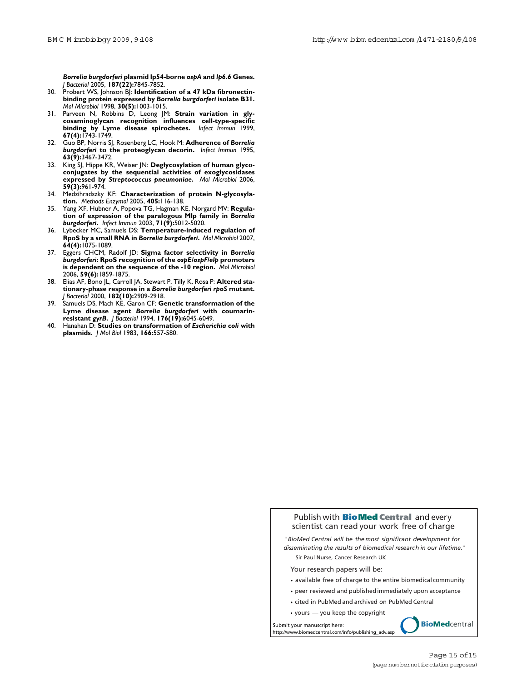*Borrelia burgdorferi* **plasmid lp54-borne** *ospA* **and** *lp6.6* **Genes.** *J Bacteriol* 2005, **187(22):**7845-7852.

- 30. Probert WS, Johnson BJ: **Identification of a 47 kDa fibronectinbinding protein expressed by** *Borrelia burgdorferi* **isolate B31.** *Mol Microbiol* 1998, **30(5):**1003-1015.
- 31. Parveen N, Robbins D, Leong JM: **Strain variation in glycosaminoglycan recognition influences cell-type-specific binding by Lyme disease spirochetes.** *Infect Immun* 1999, **67(4):**1743-1749.
- 32. Guo BP, Norris SJ, Rosenberg LC, Hook M: **Adherence of** *Borrelia burgdorferi* **to the proteoglycan decorin.** *Infect Immun* 1995, **63(9):**3467-3472.
- 33. King SJ, Hippe KR, Weiser JN: **Deglycosylation of human glycoconjugates by the sequential activities of exoglycosidases expressed by** *Streptococcus pneumoniae***.** *Mol Microbiol* 2006, **59(3):**961-974.
- 34. Medzihradszky KF: **Characterization of protein N-glycosylation.** *Methods Enzymol* 2005, **405:**116-138.
- 35. Yang XF, Hubner A, Popova TG, Hagman KE, Norgard MV: Regula**tion of expression of the paralogous Mlp family in** *Borrelia burgdorferi***.** *Infect Immun* 2003, **71(9):**5012-5020.
- 36. Lybecker MC, Samuels DS: **Temperature-induced regulation of RpoS by a small RNA in** *Borrelia burgdorferi***.** *Mol Microbiol* 2007, **64(4):**1075-1089.
- 37. Eggers CHCM, Radolf JD: **Sigma factor selectivity in** *Borrelia burgdorferi***: RpoS recognition of the** *ospE/ospF/elp* **promoters is dependent on the sequence of the -10 region.** *Mol Microbiol* 2006, **59(6):**1859-1875.
- 38. Elias AF, Bono JL, Carroll JA, Stewart P, Tilly K, Rosa P: **Altered stationary-phase response in a** *Borrelia burgdorferi rpoS* **mutant.** *J Bacteriol* 2000, **182(10):**2909-2918.
- 39. Samuels DS, Mach KE, Garon CF: **Genetic transformation of the Lyme disease agent** *Borrelia burgdorferi* **with coumarinresistant** *gyrB***.** *J Bacteriol* 1994, **176(19):**6045-6049.
- 40. Hanahan D: **Studies on transformation of** *Escherichia coli* **with plasmids.** *J Mol Biol* 1983, **166:**557-580.